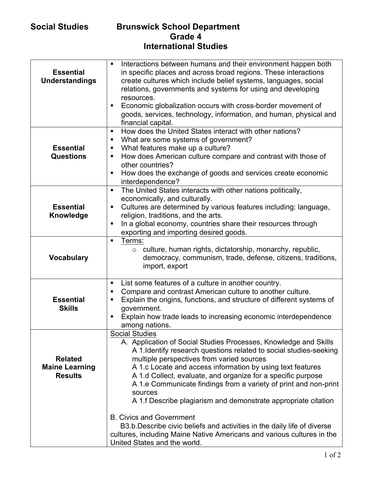## **Social Studies Brunswick School Department Grade 4 International Studies**

| <b>Essential</b><br><b>Understandings</b>                 | Interactions between humans and their environment happen both<br>$\blacksquare$<br>in specific places and across broad regions. These interactions<br>create cultures which include belief systems, languages, social<br>relations, governments and systems for using and developing<br>resources.<br>Economic globalization occurs with cross-border movement of<br>$\blacksquare$<br>goods, services, technology, information, and human, physical and<br>financial capital.              |
|-----------------------------------------------------------|---------------------------------------------------------------------------------------------------------------------------------------------------------------------------------------------------------------------------------------------------------------------------------------------------------------------------------------------------------------------------------------------------------------------------------------------------------------------------------------------|
| <b>Essential</b><br><b>Questions</b>                      | How does the United States interact with other nations?<br>$\blacksquare$<br>What are some systems of government?<br>п<br>What features make up a culture?<br>п<br>How does American culture compare and contrast with those of<br>$\blacksquare$<br>other countries?<br>How does the exchange of goods and services create economic<br>п<br>interdependence?                                                                                                                               |
| <b>Essential</b><br>Knowledge                             | The United States interacts with other nations politically,<br>$\blacksquare$<br>economically, and culturally.<br>Cultures are determined by various features including: language,<br>$\blacksquare$<br>religion, traditions, and the arts.<br>In a global economy, countries share their resources through<br>exporting and importing desired goods.                                                                                                                                       |
| <b>Vocabulary</b>                                         | Terms:<br>$\blacksquare$<br>culture, human rights, dictatorship, monarchy, republic,<br>$\circ$<br>democracy, communism, trade, defense, citizens, traditions,<br>import, export                                                                                                                                                                                                                                                                                                            |
| <b>Essential</b><br><b>Skills</b>                         | List some features of a culture in another country.<br>$\blacksquare$<br>Compare and contrast American culture to another culture.<br>٠<br>Explain the origins, functions, and structure of different systems of<br>٠<br>government.<br>Explain how trade leads to increasing economic interdependence<br>$\blacksquare$<br>among nations.                                                                                                                                                  |
| <b>Related</b><br><b>Maine Learning</b><br><b>Results</b> | <b>Social Studies</b><br>A. Application of Social Studies Processes, Knowledge and Skills<br>A 1. Identify research questions related to social studies-seeking<br>multiple perspectives from varied sources<br>A 1.c Locate and access information by using text features<br>A 1.d Collect, evaluate, and organize for a specific purpose<br>A 1.e Communicate findings from a variety of print and non-print<br>sources<br>A 1.f Describe plagiarism and demonstrate appropriate citation |
|                                                           | <b>B. Civics and Government</b><br>B3.b. Describe civic beliefs and activities in the daily life of diverse<br>cultures, including Maine Native Americans and various cultures in the<br>United States and the world.                                                                                                                                                                                                                                                                       |